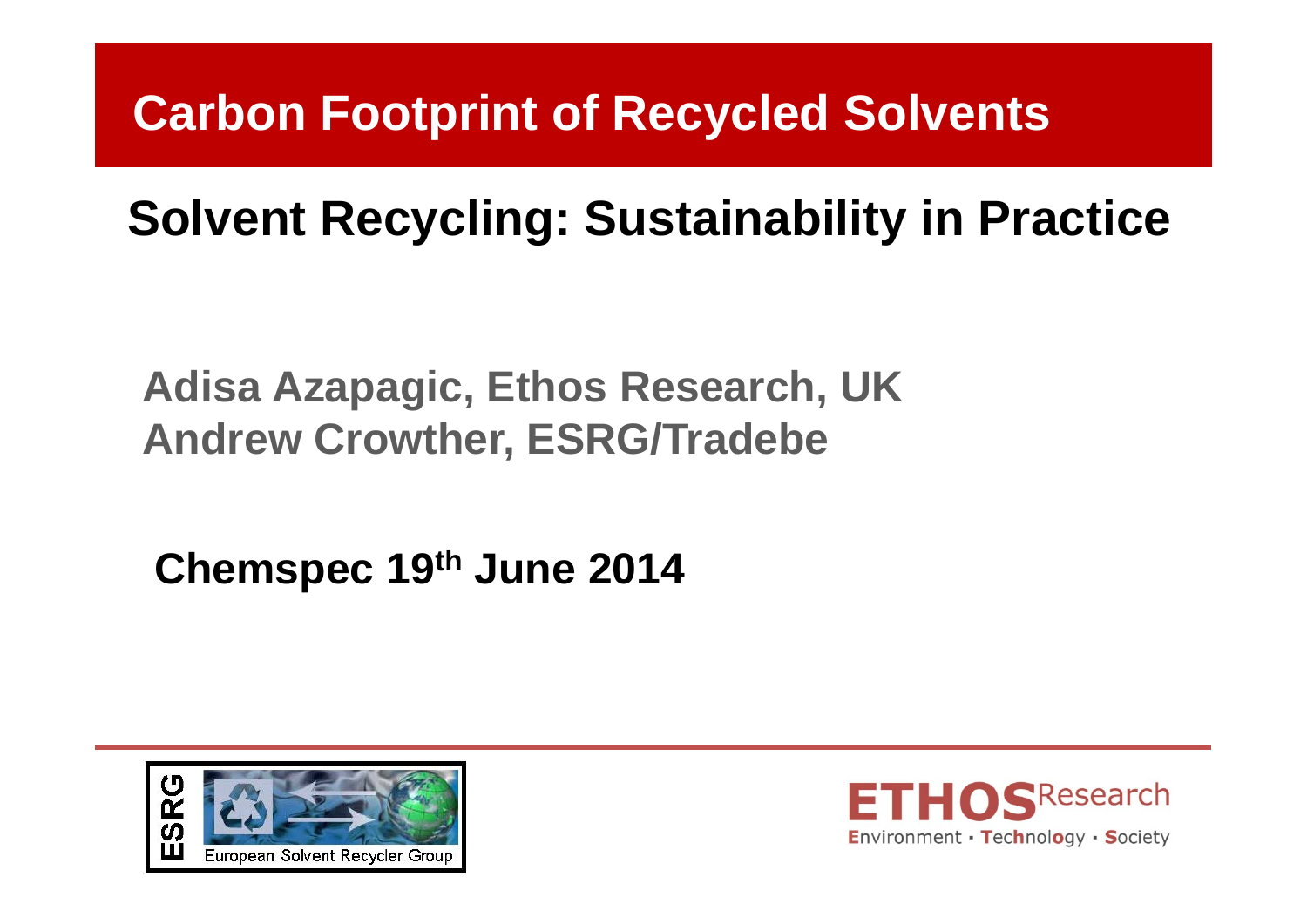### **Carbon Footprint of Recycled Solvents**

### **Solvent Recycling: Sustainability in Practice**

**Adisa Azapagic, Ethos Research, UK Andrew Crowther, ESRG/Tradebe**

**Chemspec 19th June 2014**



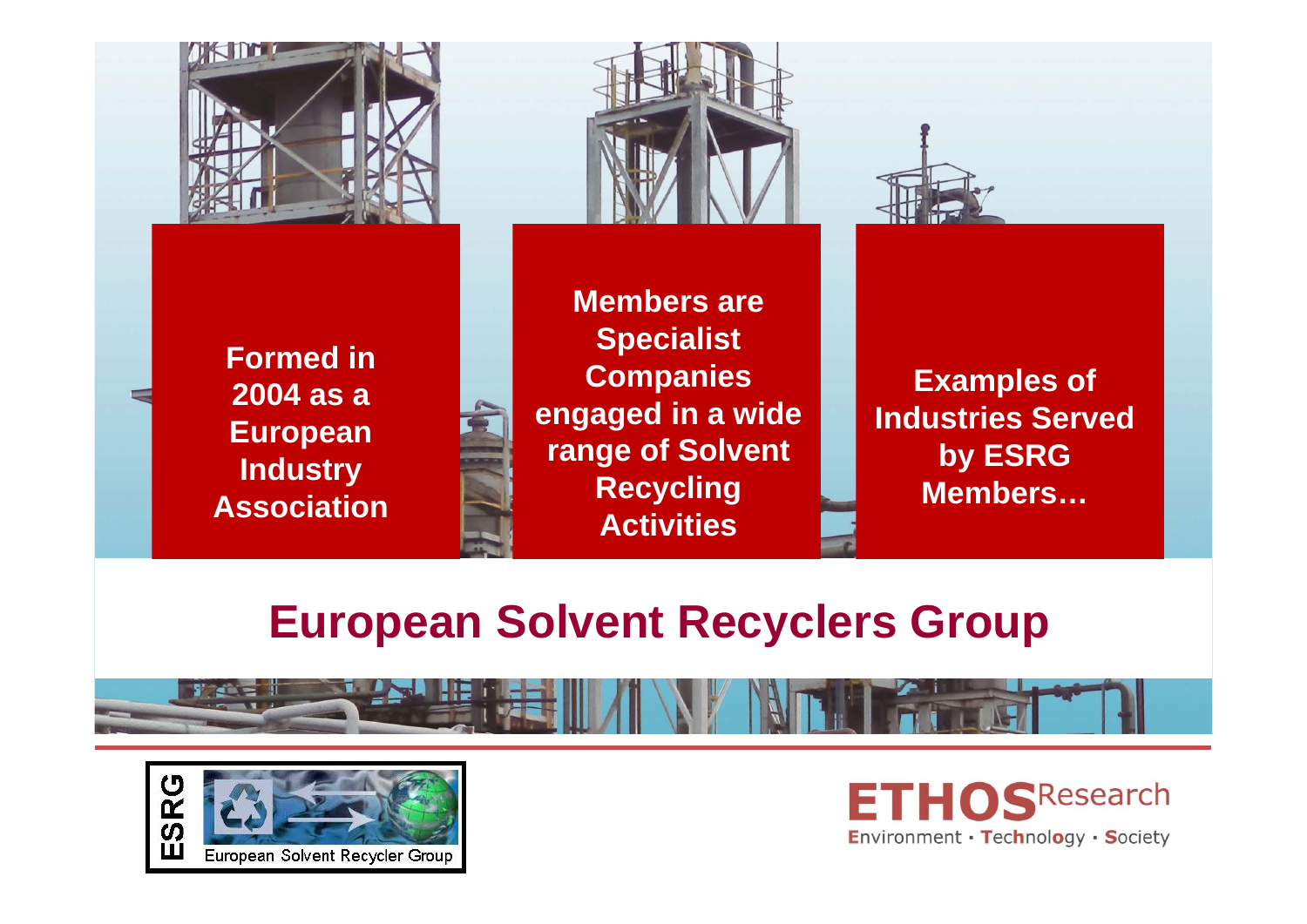





**Members are Specialist Companies engaged in a wide range of Solvent Recycling Activities** 

**Examples of Industries Served by ESRG Members…**

#### **European Solvent Recyclers Group**





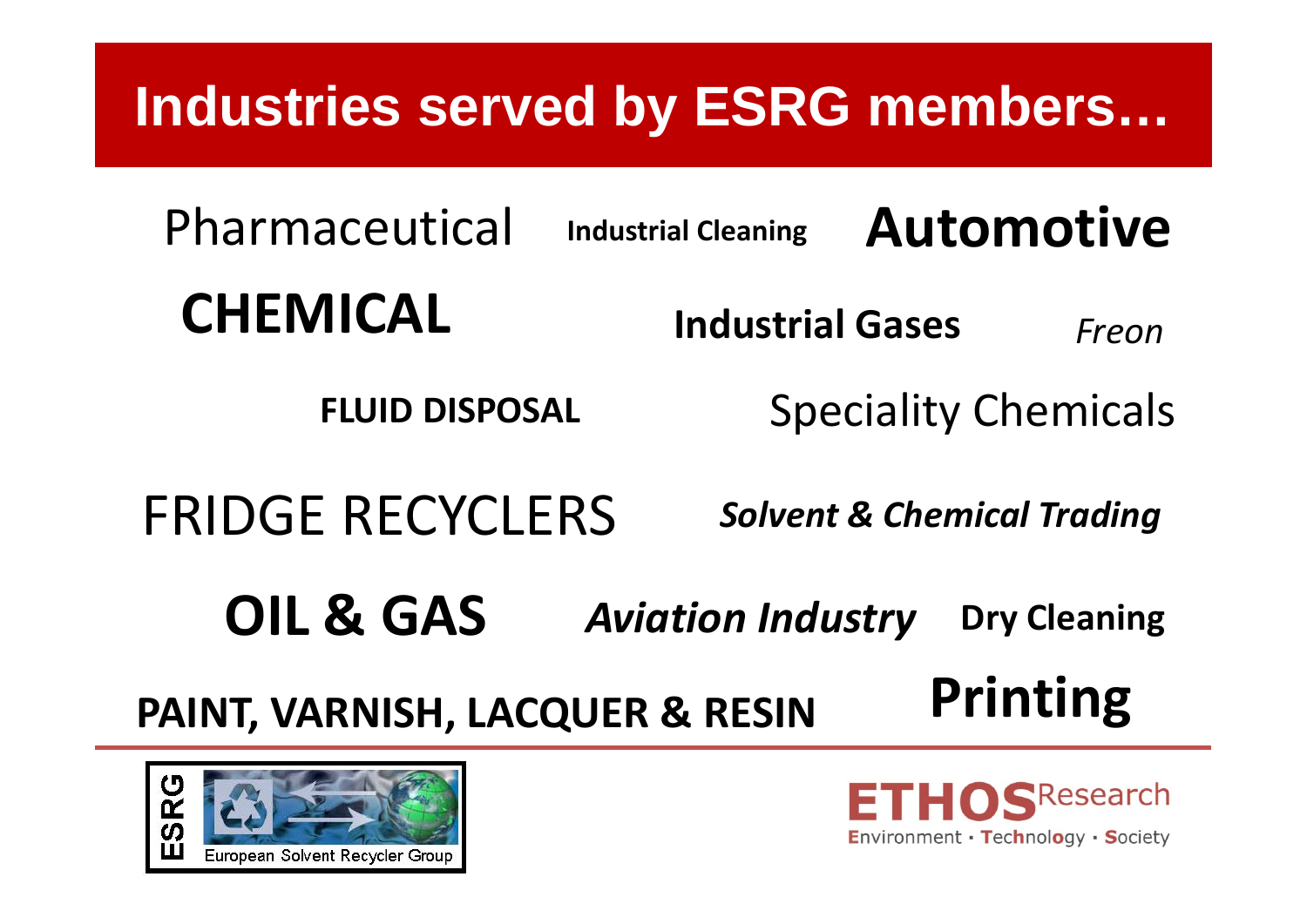# **Industries served by ESRG members…**

**CHEMICALAutomotive**Pharmaceutical **Industrial Cleaning Industrial Gases***Freon*

Speciality Chemicals

FRIDGE RECYCLERS

**FLUID DISPOSAL**

*Solvent & Chemical Trading*

**OIL & GAS** *Aviation Industry* **Dry Cleaning**

**PAINT, VARNISH, LACQUER & RESIN**





**Printing**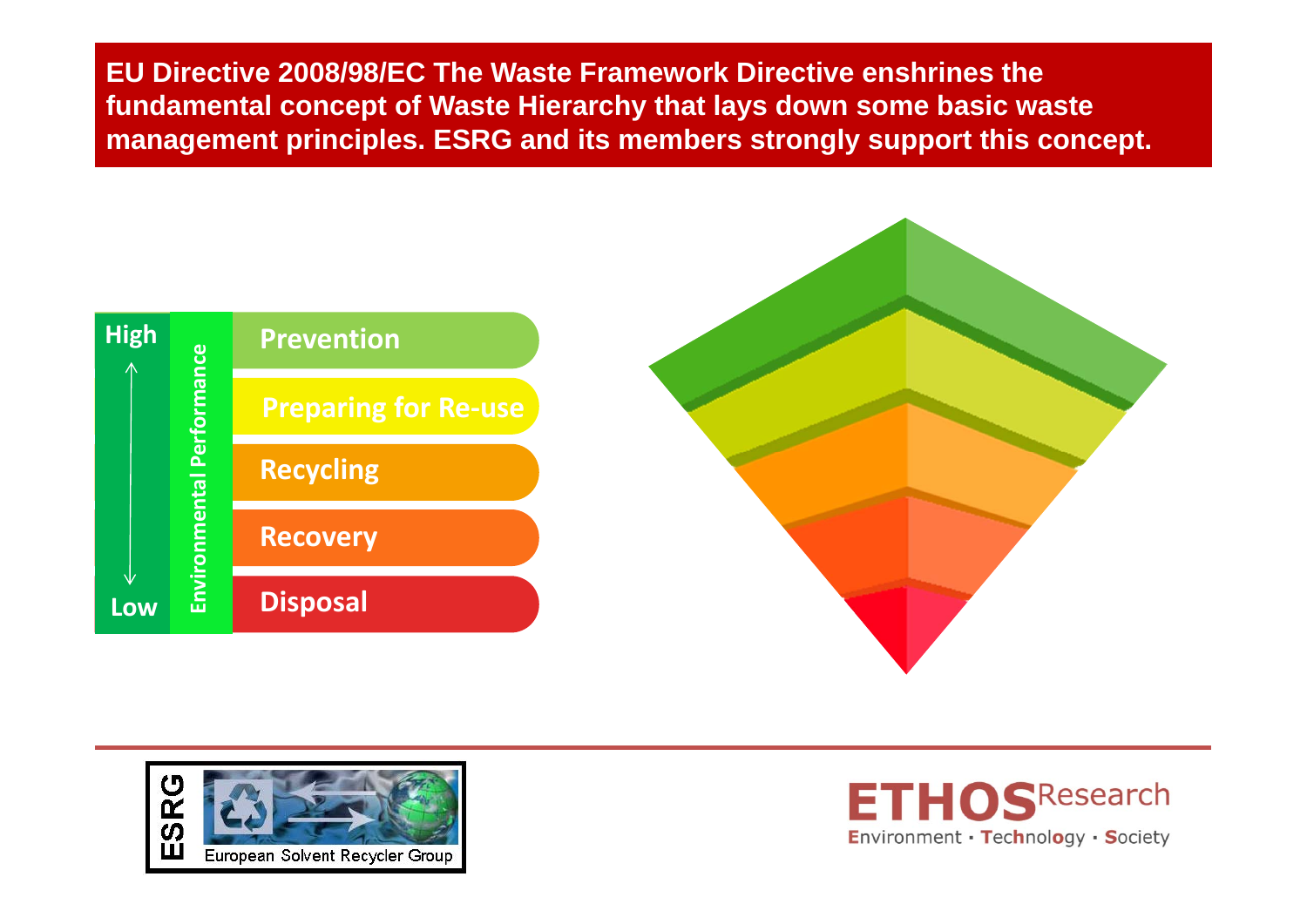**EU Directive 2008/98/EC The Waste Framework Directive enshrines the fundamental concept of Waste Hierarchy that lays down some basic waste management principles. ESRG and its members strongly support this concept.**





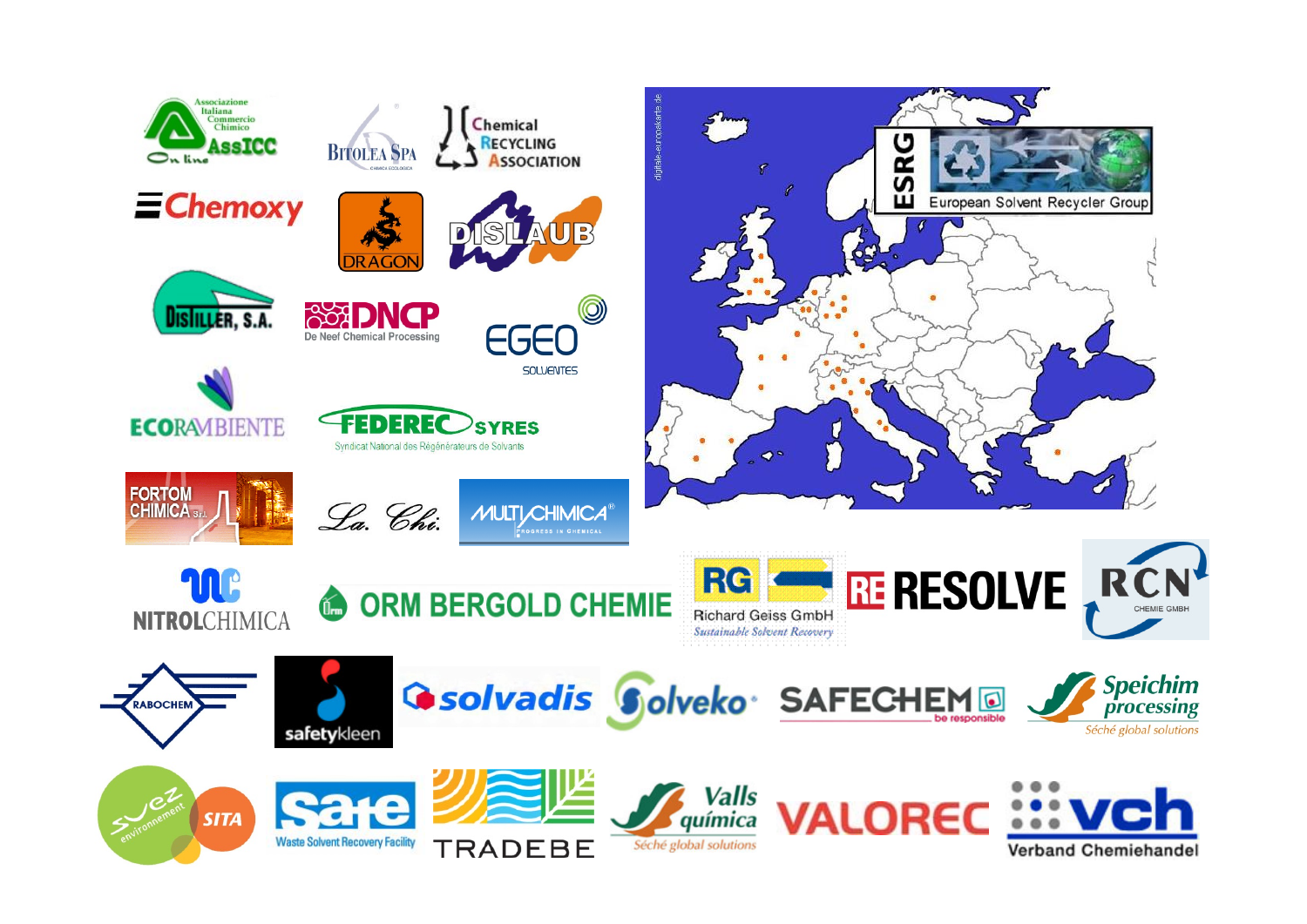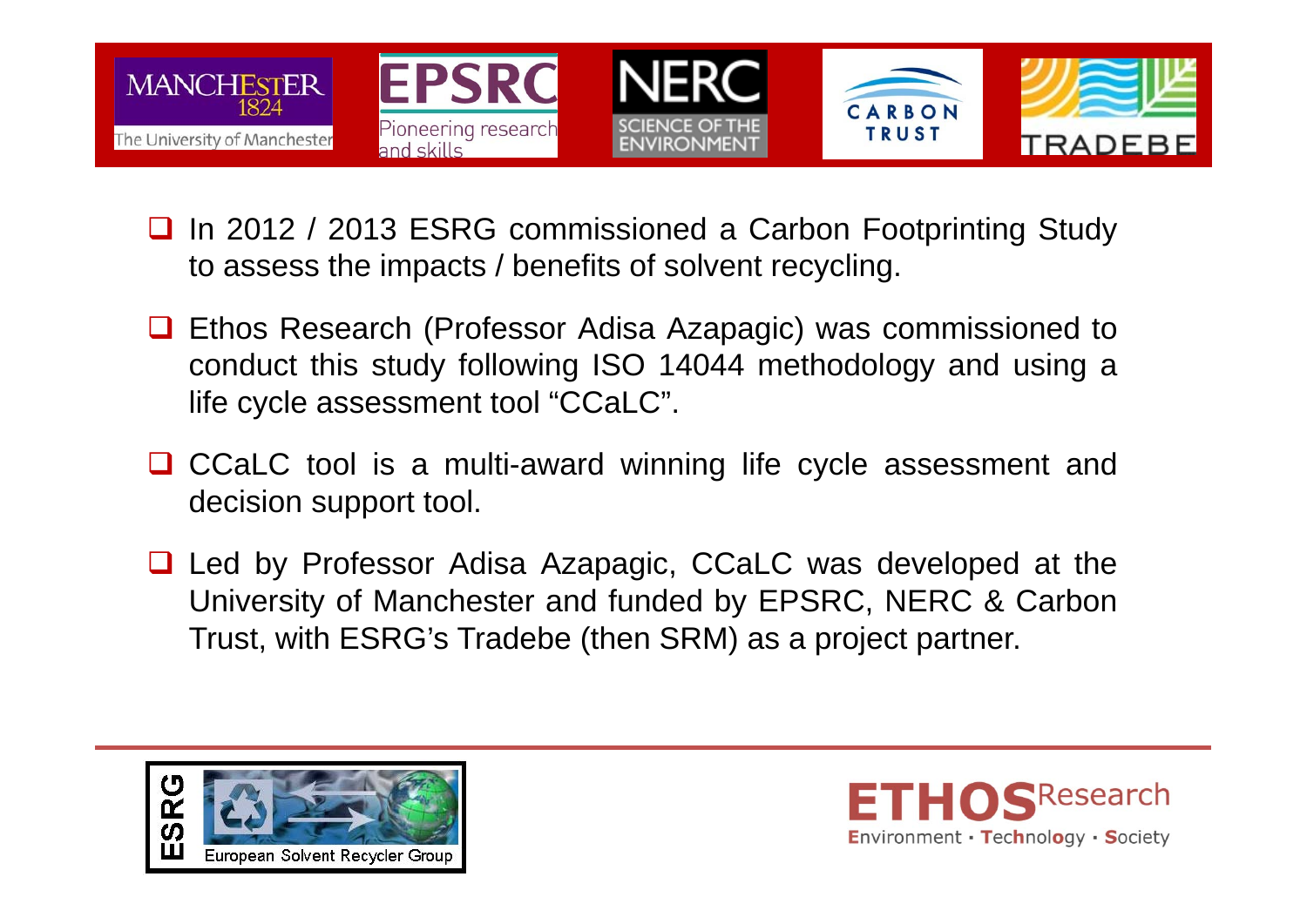

- $\Box$  In 2012 / 2013 ESRG commissioned <sup>a</sup> Carbon Footprinting Study to assess the impacts / benefits of solvent recycling.
- **□** Ethos Research (Professor Adisa Azapagic) was commissioned to conduct this study following ISO 14044 methodology and using <sup>a</sup> life cycle assessment tool "CCaLC".
- **□** CCaLC tool is a multi-award winning life cycle assessment and decision support tool.
- Led by Professor Adisa Azapagic, CCaLC was developed at the University of Manchester and funded by EPSRC, NERC & Carbon Trust, with ESRG's Tradebe (then SRM) as <sup>a</sup> project partner.



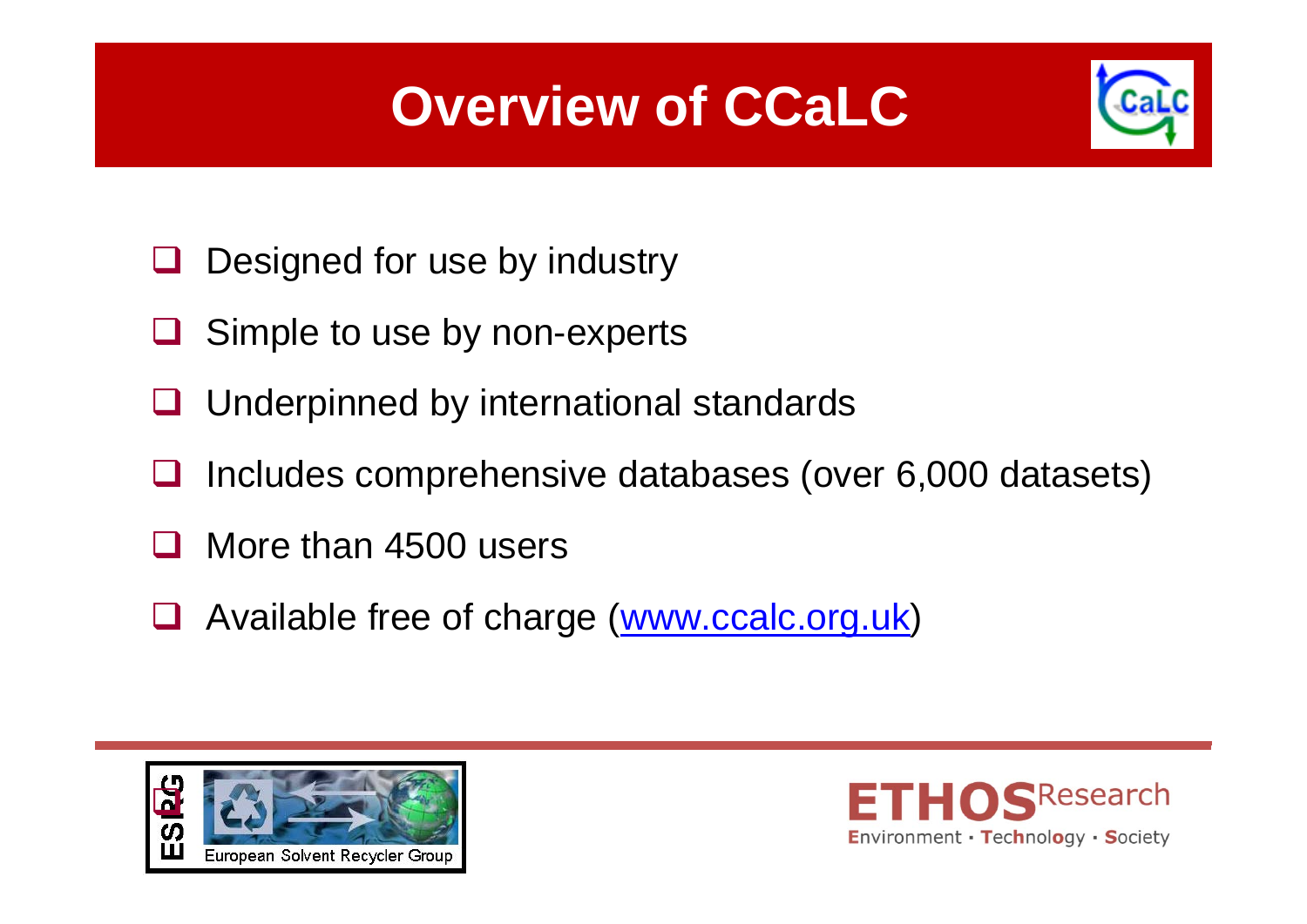# **Overview of CCaLC**



- Ш Designed for use by industry
- Ш Simple to use by non-experts
- $\Box$ Underpinned by international standards
- $\Box$ Includes comprehensive databases (over 6,000 datasets)
- 11 More than 4500 users
- Ш Available free of charge (www.ccalc.org.uk)



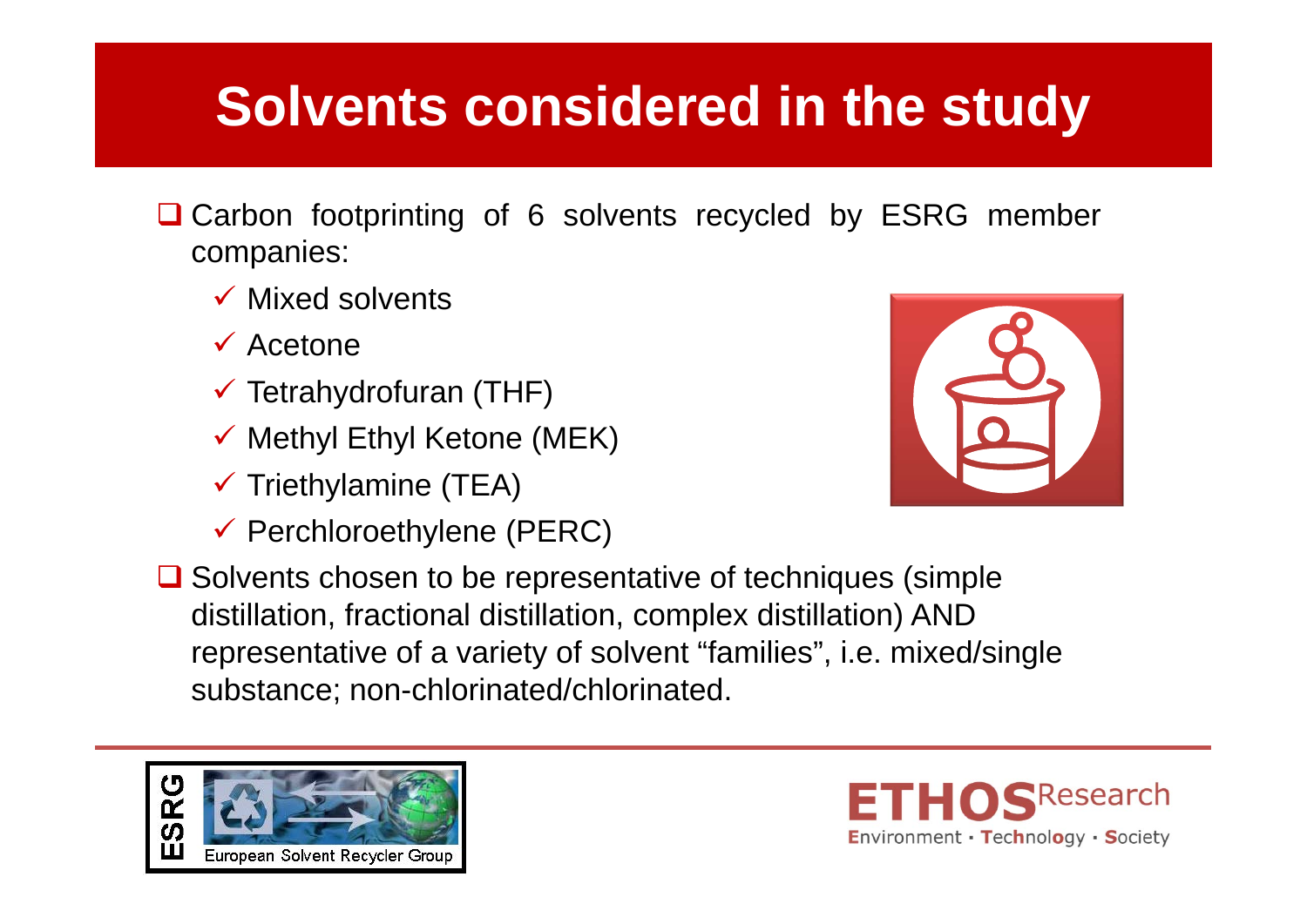## **Solvents considered in the study**

- **Q** Carbon footprinting of 6 solvents recycled by ESRG member companies:
	- $\checkmark$  Mixed solvents
	- $\checkmark$  Acetone
	- $\checkmark$  Tetrahydrofuran (THF)
	- $\checkmark$  Methyl Ethyl Ketone (MEK)
	- $\checkmark$  Triethylamine (TEA)
	- $\checkmark$  Perchloroethylene (PERC)



**□** Solvents chosen to be representative of techniques (simple distillation, fractional distillation, complex distillation) AND representative of a variety of solvent "families", i.e. mixed/single substance; non-chlorinated/chlorinated.



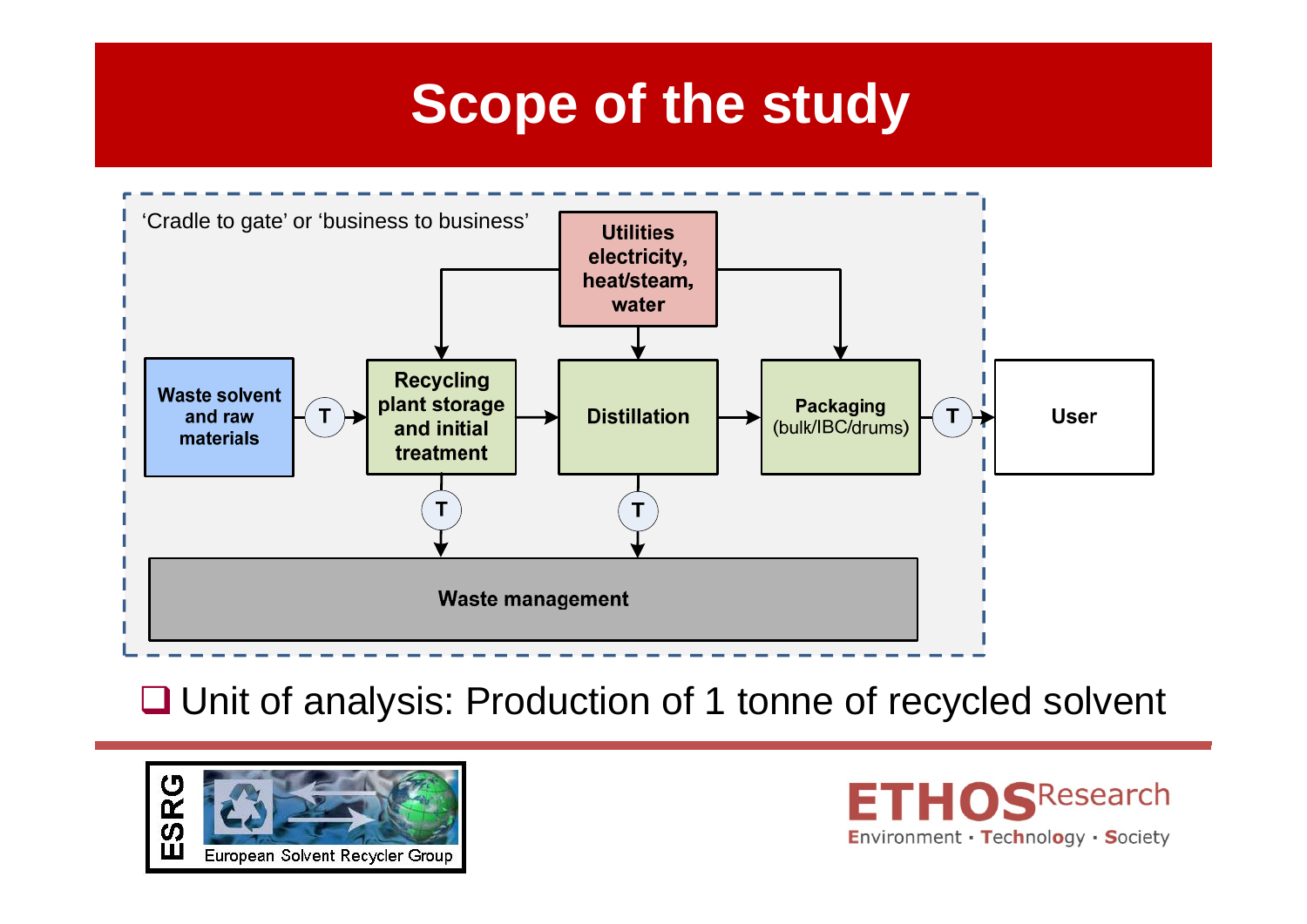### **Scope of the study**



**□ Unit of analysis: Production of 1 tonne of recycled solvent** 



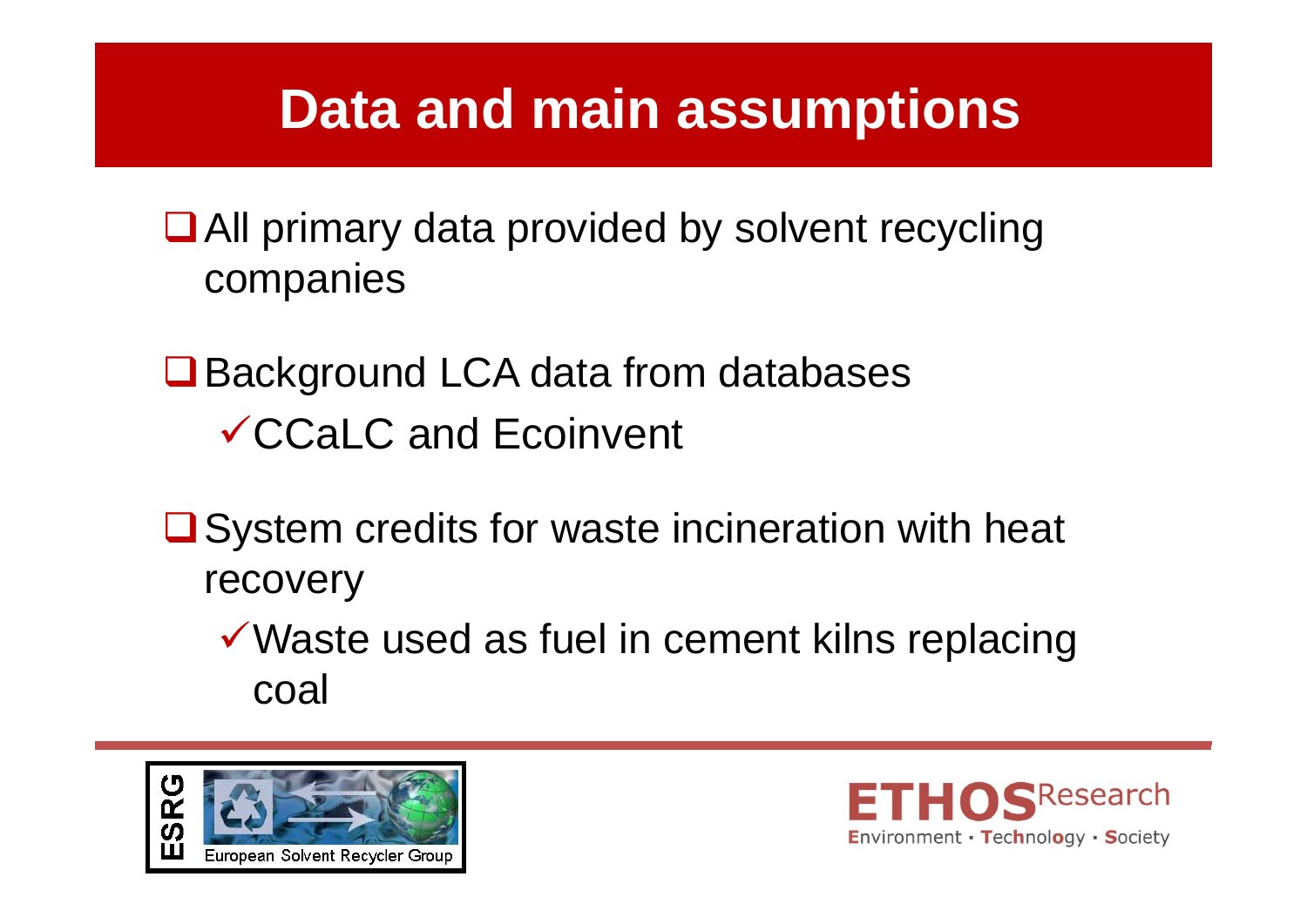### **Data and main assumptions**

- All primary data provided by solvent recycling companies
- **□** Background LCA data from databases CCaLC and Ecoinvent
- $\square$  System credits for waste incineration with heat recovery
	- $\checkmark$  Waste used as fuel in cement kilns replacing coal



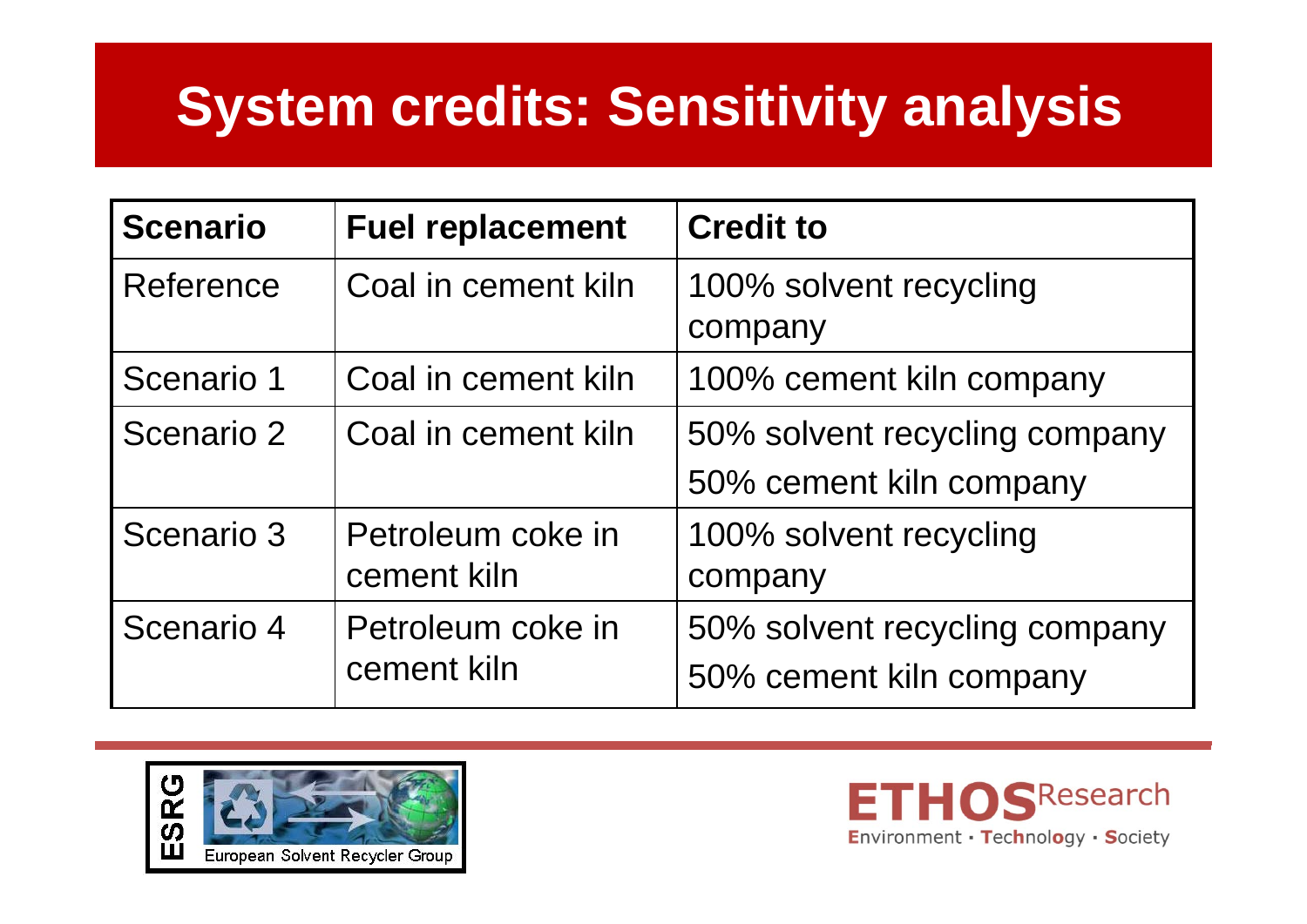# **System credits: Sensitivity analysis**

| <b>Scenario</b> | <b>Fuel replacement</b>          | <b>Credit to</b>                                         |
|-----------------|----------------------------------|----------------------------------------------------------|
| Reference       | Coal in cement kiln              | 100% solvent recycling<br>company                        |
| Scenario 1      | Coal in cement kiln              | 100% cement kiln company                                 |
| Scenario 2      | Coal in cement kiln              | 50% solvent recycling company<br>50% cement kiln company |
| Scenario 3      | Petroleum coke in<br>cement kiln | 100% solvent recycling<br>company                        |
| Scenario 4      | Petroleum coke in<br>cement kiln | 50% solvent recycling company<br>50% cement kiln company |



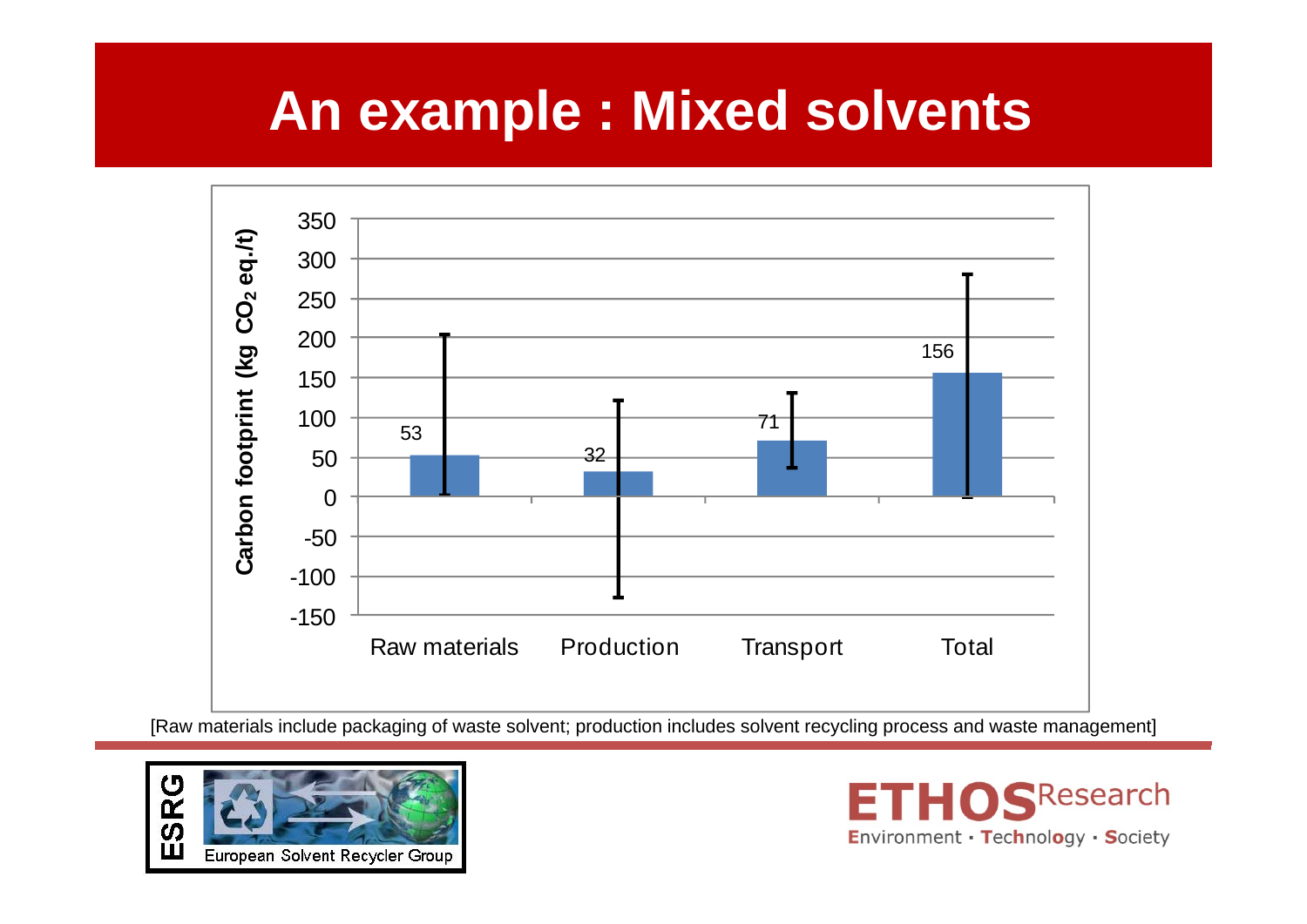### **An example : Mixed solvents**



[Raw materials include packaging of waste solvent; production includes solvent recycling process and waste management]



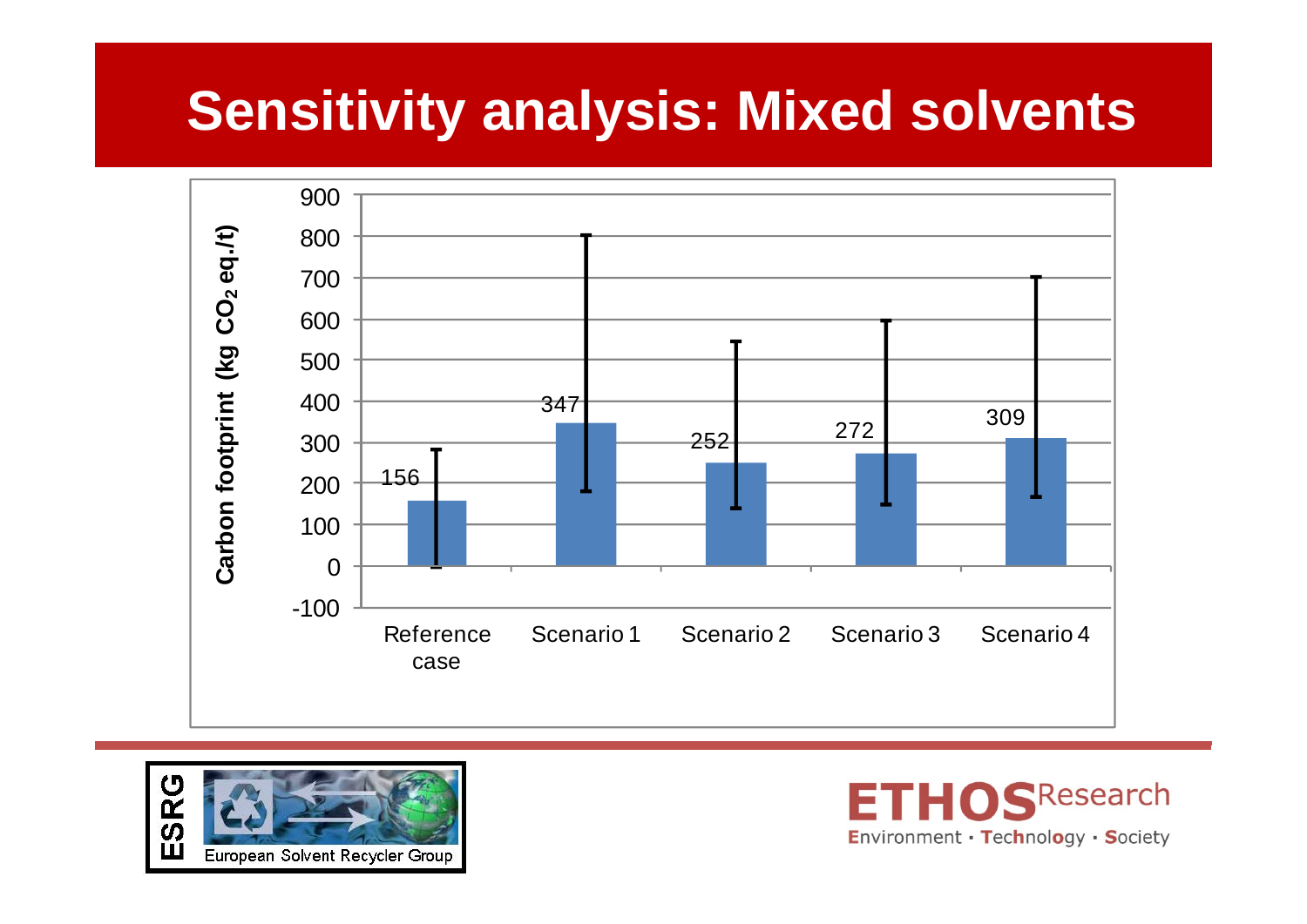### **Sensitivity analysis: Mixed solvents**





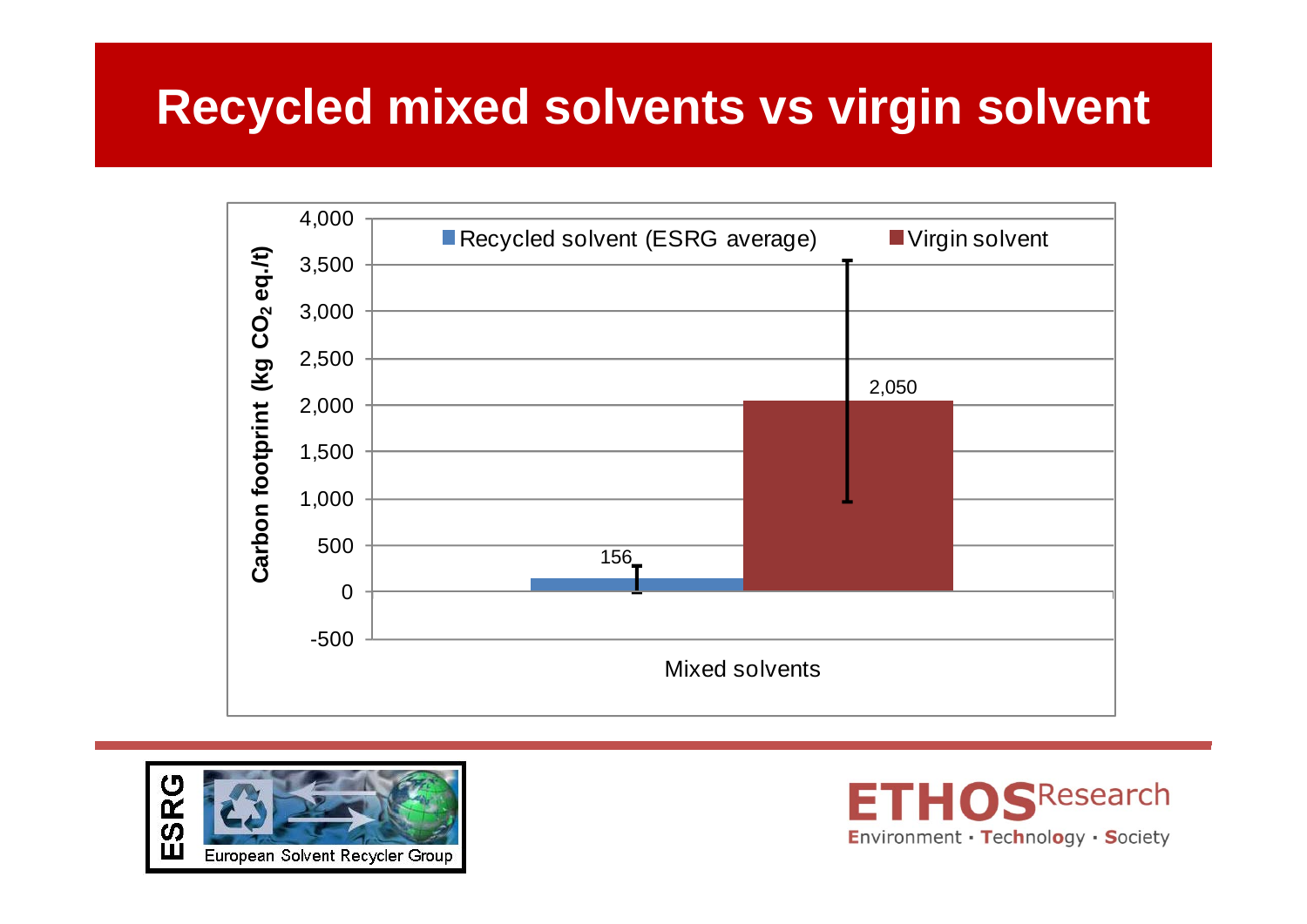### **Recycled mixed solvents vs virgin solvent**





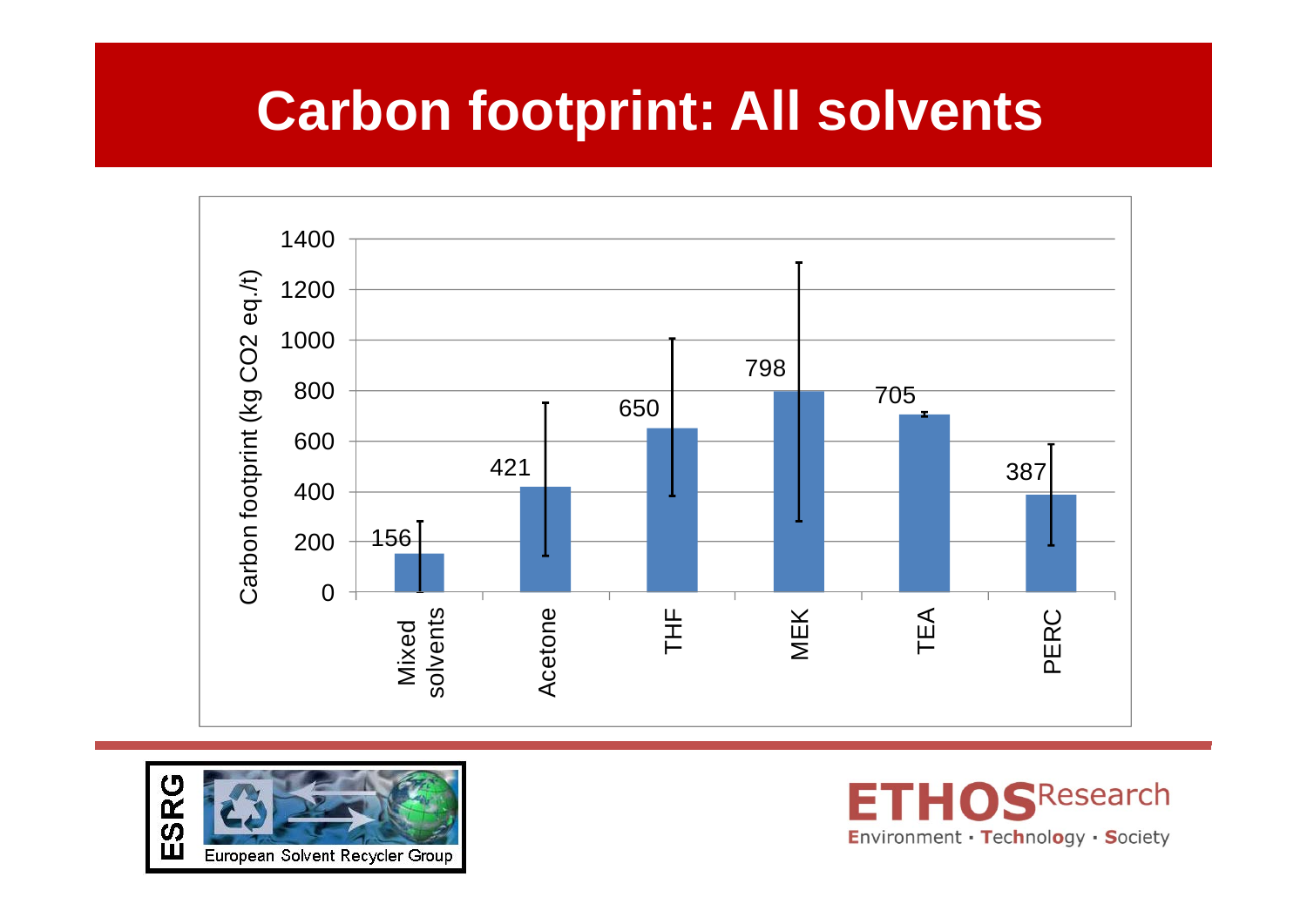### **Carbon footprint: All solvents**





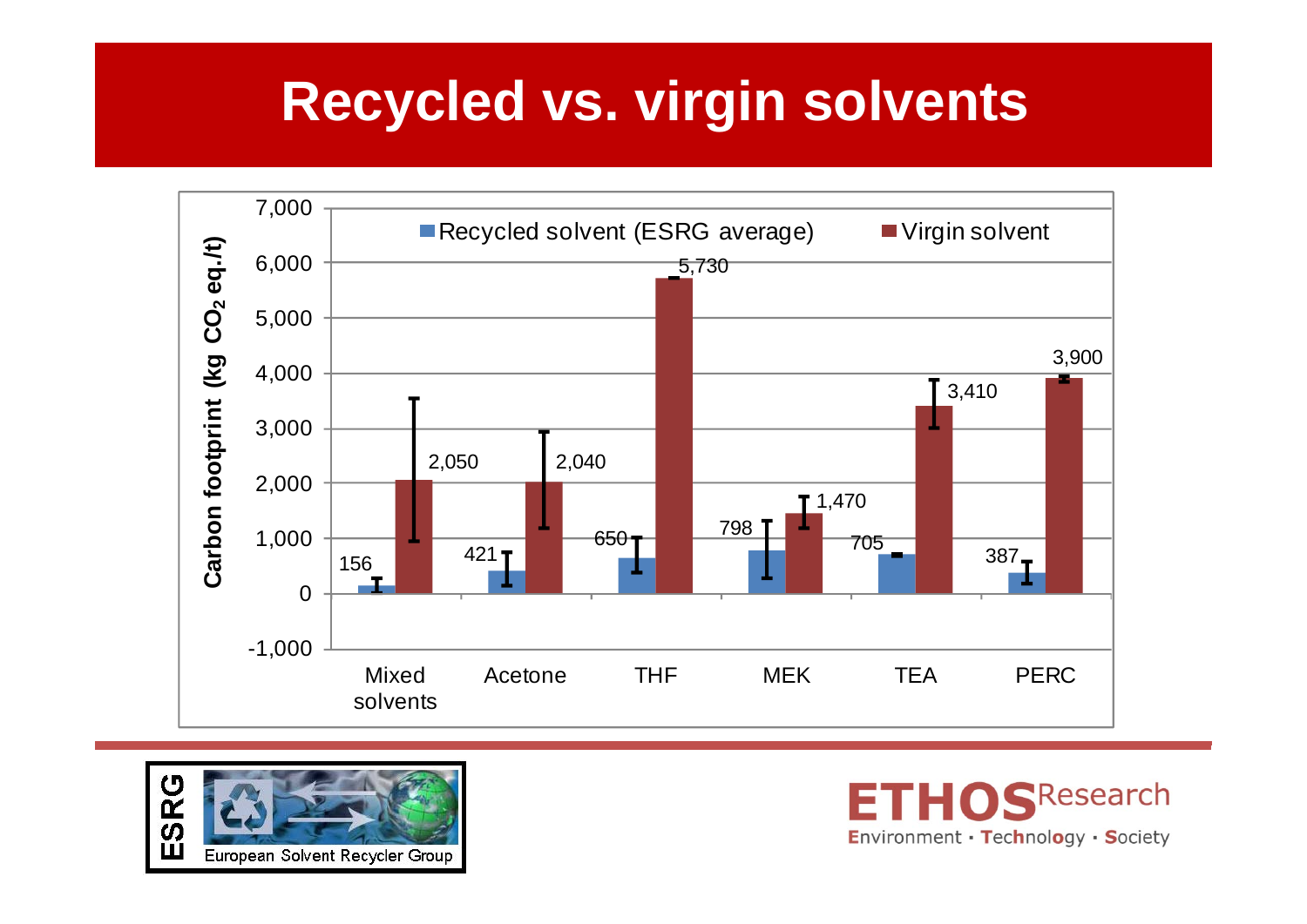### **Recycled vs. virgin solvents**





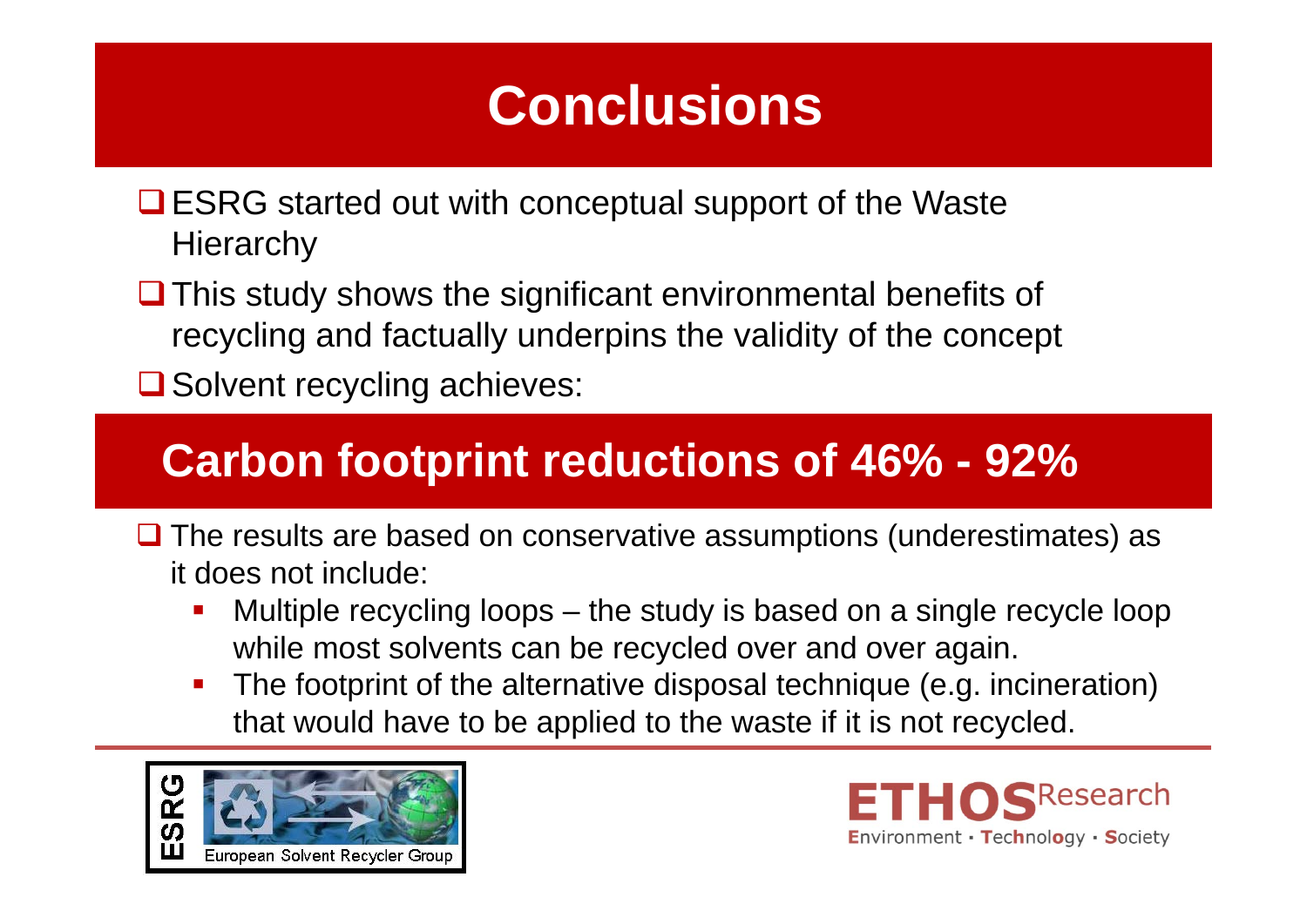# **Conclusions**

- **□ ESRG started out with conceptual support of the Waste Hierarchy**
- $\Box$  This study shows the significant environmental benefits of recycling and factually underpins the validity of the concept
- **□** Solvent recycling achieves:

#### **Carbon footprint reductions of 46% - 92%**

- $\Box$  The results are based on conservative assumptions (underestimates) as it does not include:
	- Multiple recycling loops the study is based on a single recycle loop while most solvents can be recycled over and over again.
	- The footprint of the alternative disposal technique (e.g. incineration) that would have to be applied to the waste if it is not recycled.